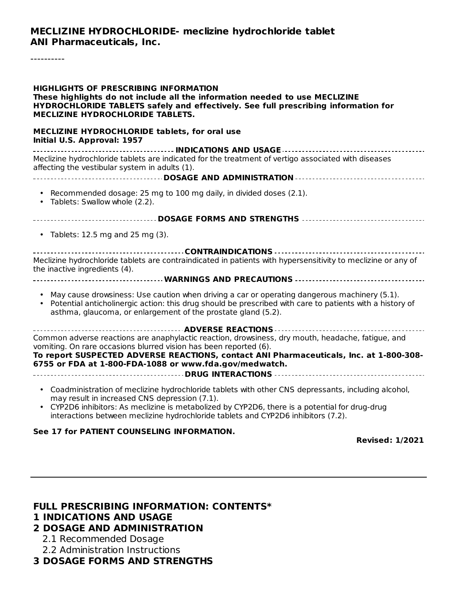#### **MECLIZINE HYDROCHLORIDE- meclizine hydrochloride tablet ANI Pharmaceuticals, Inc.**

----------

| <b>HIGHLIGHTS OF PRESCRIBING INFORMATION</b><br>These highlights do not include all the information needed to use MECLIZINE<br>HYDROCHLORIDE TABLETS safely and effectively. See full prescribing information for<br><b>MECLIZINE HYDROCHLORIDE TABLETS.</b>                                                                                            |  |  |  |  |  |
|---------------------------------------------------------------------------------------------------------------------------------------------------------------------------------------------------------------------------------------------------------------------------------------------------------------------------------------------------------|--|--|--|--|--|
| MECLIZINE HYDROCHLORIDE tablets, for oral use<br>Initial U.S. Approval: 1957                                                                                                                                                                                                                                                                            |  |  |  |  |  |
| Meclizine hydrochloride tablets are indicated for the treatment of vertigo associated with diseases<br>affecting the vestibular system in adults (1).                                                                                                                                                                                                   |  |  |  |  |  |
| • Recommended dosage: 25 mg to 100 mg daily, in divided doses (2.1).<br>Tablets: Swallow whole (2.2).<br>$\bullet$                                                                                                                                                                                                                                      |  |  |  |  |  |
| ----------------------------------- DOSAGE FORMS AND STRENGTHS -----------------------------------                                                                                                                                                                                                                                                      |  |  |  |  |  |
| • Tablets: 12.5 mg and 25 mg $(3)$ .                                                                                                                                                                                                                                                                                                                    |  |  |  |  |  |
| Meclizine hydrochloride tablets are contraindicated in patients with hypersensitivity to meclizine or any of<br>the inactive ingredients (4).                                                                                                                                                                                                           |  |  |  |  |  |
| ------------------------------ WARNINGS AND PRECAUTIONS ------------------------------                                                                                                                                                                                                                                                                  |  |  |  |  |  |
| May cause drowsiness: Use caution when driving a car or operating dangerous machinery (5.1).<br>• Potential anticholinergic action: this drug should be prescribed with care to patients with a history of<br>asthma, glaucoma, or enlargement of the prostate gland (5.2).                                                                             |  |  |  |  |  |
|                                                                                                                                                                                                                                                                                                                                                         |  |  |  |  |  |
| Common adverse reactions are anaphylactic reaction, drowsiness, dry mouth, headache, fatigue, and<br>vomiting. On rare occasions blurred vision has been reported (6).<br>To report SUSPECTED ADVERSE REACTIONS, contact ANI Pharmaceuticals, Inc. at 1-800-308-<br>6755 or FDA at 1-800-FDA-1088 or www.fda.gov/medwatch.                              |  |  |  |  |  |
|                                                                                                                                                                                                                                                                                                                                                         |  |  |  |  |  |
| • Coadministration of meclizine hydrochloride tablets with other CNS depressants, including alcohol,<br>may result in increased CNS depression (7.1).<br>CYP2D6 inhibitors: As meclizine is metabolized by CYP2D6, there is a potential for drug-drug<br>$\bullet$<br>interactions between meclizine hydrochloride tablets and CYP2D6 inhibitors (7.2). |  |  |  |  |  |

#### **See 17 for PATIENT COUNSELING INFORMATION.**

**Revised: 1/2021**

#### **FULL PRESCRIBING INFORMATION: CONTENTS\* 1 INDICATIONS AND USAGE**

#### **2 DOSAGE AND ADMINISTRATION**

2.1 Recommended Dosage

2.2 Administration Instructions

#### **3 DOSAGE FORMS AND STRENGTHS**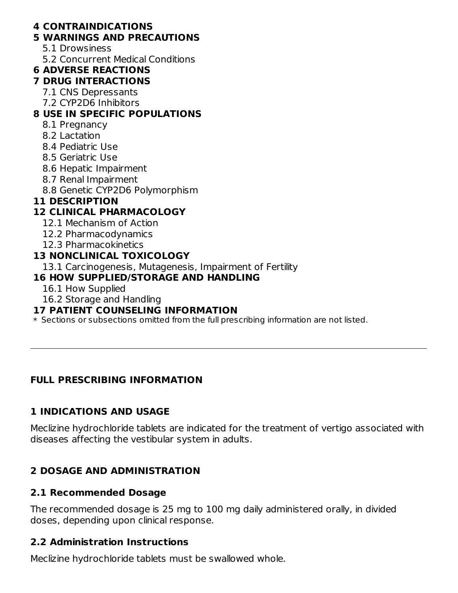#### **4 CONTRAINDICATIONS**

#### **5 WARNINGS AND PRECAUTIONS**

- 5.1 Drowsiness
- 5.2 Concurrent Medical Conditions

#### **6 ADVERSE REACTIONS**

#### **7 DRUG INTERACTIONS**

- 7.1 CNS Depressants
- 7.2 CYP2D6 Inhibitors

## **8 USE IN SPECIFIC POPULATIONS**

- 8.1 Pregnancy
- 8.2 Lactation
- 8.4 Pediatric Use
- 8.5 Geriatric Use
- 8.6 Hepatic Impairment
- 8.7 Renal Impairment
- 8.8 Genetic CYP2D6 Polymorphism

## **11 DESCRIPTION**

## **12 CLINICAL PHARMACOLOGY**

- 12.1 Mechanism of Action
- 12.2 Pharmacodynamics
- 12.3 Pharmacokinetics

## **13 NONCLINICAL TOXICOLOGY**

13.1 Carcinogenesis, Mutagenesis, Impairment of Fertility

## **16 HOW SUPPLIED/STORAGE AND HANDLING**

- 16.1 How Supplied
- 16.2 Storage and Handling

#### **17 PATIENT COUNSELING INFORMATION**

 $\ast$  Sections or subsections omitted from the full prescribing information are not listed.

## **FULL PRESCRIBING INFORMATION**

## **1 INDICATIONS AND USAGE**

Meclizine hydrochloride tablets are indicated for the treatment of vertigo associated with diseases affecting the vestibular system in adults.

## **2 DOSAGE AND ADMINISTRATION**

## **2.1 Recommended Dosage**

The recommended dosage is 25 mg to 100 mg daily administered orally, in divided doses, depending upon clinical response.

## **2.2 Administration Instructions**

Meclizine hydrochloride tablets must be swallowed whole.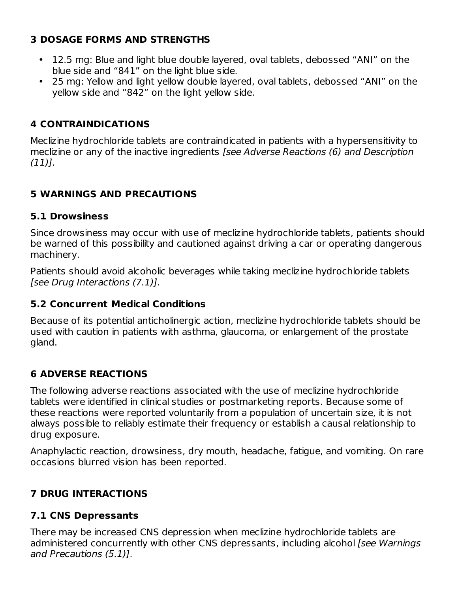## **3 DOSAGE FORMS AND STRENGTHS**

- 12.5 mg: Blue and light blue double layered, oval tablets, debossed "ANI" on the blue side and "841" on the light blue side.
- 25 mg: Yellow and light yellow double layered, oval tablets, debossed "ANI" on the yellow side and "842" on the light yellow side.

## **4 CONTRAINDICATIONS**

Meclizine hydrochloride tablets are contraindicated in patients with a hypersensitivity to meclizine or any of the inactive ingredients [see Adverse Reactions (6) and Description  $(11)$ .

## **5 WARNINGS AND PRECAUTIONS**

## **5.1 Drowsiness**

Since drowsiness may occur with use of meclizine hydrochloride tablets, patients should be warned of this possibility and cautioned against driving a car or operating dangerous machinery.

Patients should avoid alcoholic beverages while taking meclizine hydrochloride tablets [see Drug Interactions (7.1)].

## **5.2 Concurrent Medical Conditions**

Because of its potential anticholinergic action, meclizine hydrochloride tablets should be used with caution in patients with asthma, glaucoma, or enlargement of the prostate gland.

## **6 ADVERSE REACTIONS**

The following adverse reactions associated with the use of meclizine hydrochloride tablets were identified in clinical studies or postmarketing reports. Because some of these reactions were reported voluntarily from a population of uncertain size, it is not always possible to reliably estimate their frequency or establish a causal relationship to drug exposure.

Anaphylactic reaction, drowsiness, dry mouth, headache, fatigue, and vomiting. On rare occasions blurred vision has been reported.

## **7 DRUG INTERACTIONS**

## **7.1 CNS Depressants**

There may be increased CNS depression when meclizine hydrochloride tablets are administered concurrently with other CNS depressants, including alcohol [see Warnings and Precautions (5.1)].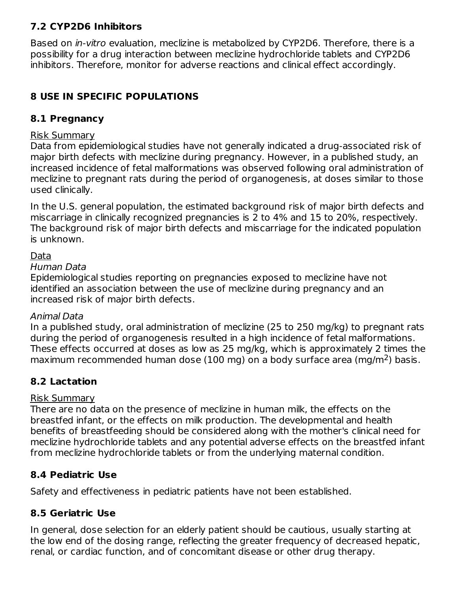## **7.2 CYP2D6 Inhibitors**

Based on in-vitro evaluation, meclizine is metabolized by CYP2D6. Therefore, there is a possibility for a drug interaction between meclizine hydrochloride tablets and CYP2D6 inhibitors. Therefore, monitor for adverse reactions and clinical effect accordingly.

## **8 USE IN SPECIFIC POPULATIONS**

## **8.1 Pregnancy**

#### Risk Summary

Data from epidemiological studies have not generally indicated a drug-associated risk of major birth defects with meclizine during pregnancy. However, in a published study, an increased incidence of fetal malformations was observed following oral administration of meclizine to pregnant rats during the period of organogenesis, at doses similar to those used clinically.

In the U.S. general population, the estimated background risk of major birth defects and miscarriage in clinically recognized pregnancies is 2 to 4% and 15 to 20%, respectively. The background risk of major birth defects and miscarriage for the indicated population is unknown.

#### Data

#### Human Data

Epidemiological studies reporting on pregnancies exposed to meclizine have not identified an association between the use of meclizine during pregnancy and an increased risk of major birth defects.

#### Animal Data

In a published study, oral administration of meclizine (25 to 250 mg/kg) to pregnant rats during the period of organogenesis resulted in a high incidence of fetal malformations. These effects occurred at doses as low as 25 mg/kg, which is approximately 2 times the maximum recommended human dose (100 mg) on a body surface area (mg/m<sup>2</sup>) basis.

## **8.2 Lactation**

#### Risk Summary

There are no data on the presence of meclizine in human milk, the effects on the breastfed infant, or the effects on milk production. The developmental and health benefits of breastfeeding should be considered along with the mother's clinical need for meclizine hydrochloride tablets and any potential adverse effects on the breastfed infant from meclizine hydrochloride tablets or from the underlying maternal condition.

## **8.4 Pediatric Use**

Safety and effectiveness in pediatric patients have not been established.

## **8.5 Geriatric Use**

In general, dose selection for an elderly patient should be cautious, usually starting at the low end of the dosing range, reflecting the greater frequency of decreased hepatic, renal, or cardiac function, and of concomitant disease or other drug therapy.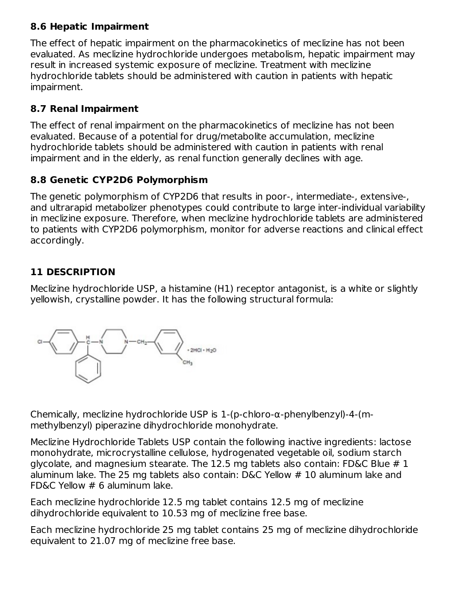## **8.6 Hepatic Impairment**

The effect of hepatic impairment on the pharmacokinetics of meclizine has not been evaluated. As meclizine hydrochloride undergoes metabolism, hepatic impairment may result in increased systemic exposure of meclizine. Treatment with meclizine hydrochloride tablets should be administered with caution in patients with hepatic impairment.

## **8.7 Renal Impairment**

The effect of renal impairment on the pharmacokinetics of meclizine has not been evaluated. Because of a potential for drug/metabolite accumulation, meclizine hydrochloride tablets should be administered with caution in patients with renal impairment and in the elderly, as renal function generally declines with age.

## **8.8 Genetic CYP2D6 Polymorphism**

The genetic polymorphism of CYP2D6 that results in poor-, intermediate-, extensive-, and ultrarapid metabolizer phenotypes could contribute to large inter-individual variability in meclizine exposure. Therefore, when meclizine hydrochloride tablets are administered to patients with CYP2D6 polymorphism, monitor for adverse reactions and clinical effect accordingly.

## **11 DESCRIPTION**

Meclizine hydrochloride USP, a histamine (H1) receptor antagonist, is a white or slightly yellowish, crystalline powder. It has the following structural formula:



Chemically, meclizine hydrochloride USP is 1-(p-chloro-α-phenylbenzyl)-4-(mmethylbenzyl) piperazine dihydrochloride monohydrate.

Meclizine Hydrochloride Tablets USP contain the following inactive ingredients: lactose monohydrate, microcrystalline cellulose, hydrogenated vegetable oil, sodium starch glycolate, and magnesium stearate. The 12.5 mg tablets also contain: FD&C Blue # 1 aluminum lake. The 25 mg tablets also contain: D&C Yellow # 10 aluminum lake and FD&C Yellow # 6 aluminum lake.

Each meclizine hydrochloride 12.5 mg tablet contains 12.5 mg of meclizine dihydrochloride equivalent to 10.53 mg of meclizine free base.

Each meclizine hydrochloride 25 mg tablet contains 25 mg of meclizine dihydrochloride equivalent to 21.07 mg of meclizine free base.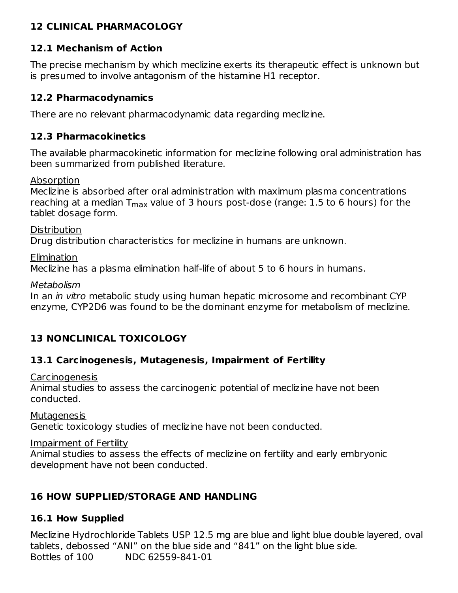### **12 CLINICAL PHARMACOLOGY**

## **12.1 Mechanism of Action**

The precise mechanism by which meclizine exerts its therapeutic effect is unknown but is presumed to involve antagonism of the histamine H1 receptor.

#### **12.2 Pharmacodynamics**

There are no relevant pharmacodynamic data regarding meclizine.

#### **12.3 Pharmacokinetics**

The available pharmacokinetic information for meclizine following oral administration has been summarized from published literature.

Absorption

Meclizine is absorbed after oral administration with maximum plasma concentrations reaching at a median  $\mathsf{T}_{\mathsf{max}}$  value of 3 hours post-dose (range: 1.5 to 6 hours) for the tablet dosage form.

**Distribution** Drug distribution characteristics for meclizine in humans are unknown.

Elimination Meclizine has a plasma elimination half-life of about 5 to 6 hours in humans.

Metabolism

In an *in vitro* metabolic study using human hepatic microsome and recombinant CYP enzyme, CYP2D6 was found to be the dominant enzyme for metabolism of meclizine.

## **13 NONCLINICAL TOXICOLOGY**

## **13.1 Carcinogenesis, Mutagenesis, Impairment of Fertility**

Carcinogenesis

Animal studies to assess the carcinogenic potential of meclizine have not been conducted.

**Mutagenesis** Genetic toxicology studies of meclizine have not been conducted.

Impairment of Fertility

Animal studies to assess the effects of meclizine on fertility and early embryonic development have not been conducted.

## **16 HOW SUPPLIED/STORAGE AND HANDLING**

## **16.1 How Supplied**

Meclizine Hydrochloride Tablets USP 12.5 mg are blue and light blue double layered, oval tablets, debossed "ANI" on the blue side and "841" on the light blue side. Bottles of 100 NDC 62559-841-01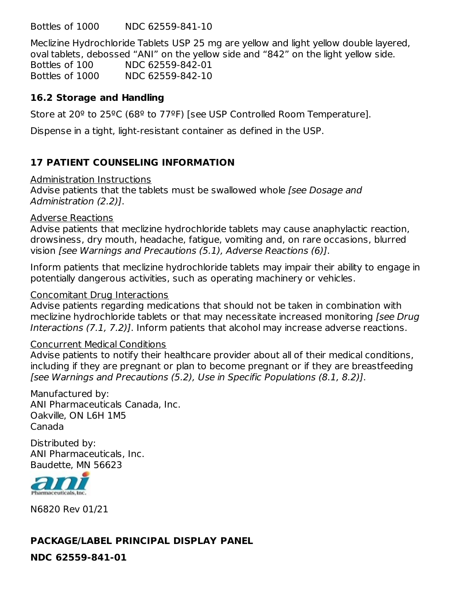Bottles of 1000 NDC 62559-841-10

Meclizine Hydrochloride Tablets USP 25 mg are yellow and light yellow double layered, oval tablets, debossed "ANI" on the yellow side and "842" on the light yellow side.

Bottles of 100 NDC 62559-842-01 Bottles of 1000 NDC 62559-842-10

#### **16.2 Storage and Handling**

Store at 20<sup>o</sup> to 25<sup>o</sup>C (68<sup>o</sup> to 77<sup>o</sup>F) [see USP Controlled Room Temperature].

Dispense in a tight, light-resistant container as defined in the USP.

## **17 PATIENT COUNSELING INFORMATION**

#### Administration Instructions

Advise patients that the tablets must be swallowed whole [see Dosage and Administration (2.2)].

#### Adverse Reactions

Advise patients that meclizine hydrochloride tablets may cause anaphylactic reaction, drowsiness, dry mouth, headache, fatigue, vomiting and, on rare occasions, blurred vision [see Warnings and Precautions (5.1), Adverse Reactions (6)].

Inform patients that meclizine hydrochloride tablets may impair their ability to engage in potentially dangerous activities, such as operating machinery or vehicles.

#### Concomitant Drug Interactions

Advise patients regarding medications that should not be taken in combination with meclizine hydrochloride tablets or that may necessitate increased monitoring [see Drug Interactions (7.1, 7.2)]. Inform patients that alcohol may increase adverse reactions.

#### Concurrent Medical Conditions

Advise patients to notify their healthcare provider about all of their medical conditions, including if they are pregnant or plan to become pregnant or if they are breastfeeding [see Warnings and Precautions (5.2), Use in Specific Populations (8.1, 8.2)].

Manufactured by: ANI Pharmaceuticals Canada, Inc. Oakville, ON L6H 1M5 Canada

Distributed by: ANI Pharmaceuticals, Inc. Baudette, MN 56623



N6820 Rev 01/21

## **PACKAGE/LABEL PRINCIPAL DISPLAY PANEL**

**NDC 62559-841-01**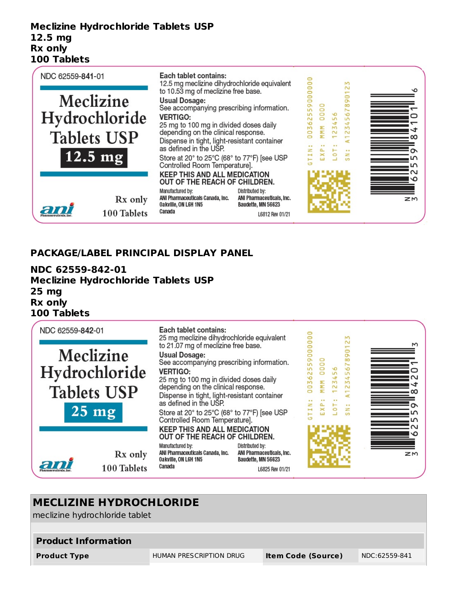#### **Meclizine Hydrochloride Tablets USP 12.5 mg Rx only 100 Tablets**



#### **PACKAGE/LABEL PRINCIPAL DISPLAY PANEL**

**NDC 62559-842-01 Meclizine Hydrochloride Tablets USP 25 mg Rx only 100 Tablets**



# **MECLIZINE HYDROCHLORIDE** meclizine hydrochloride tablet **Product Information Product Type** HUMAN PRESCRIPTION DRUG **Item Code (Source)** NDC:62559-841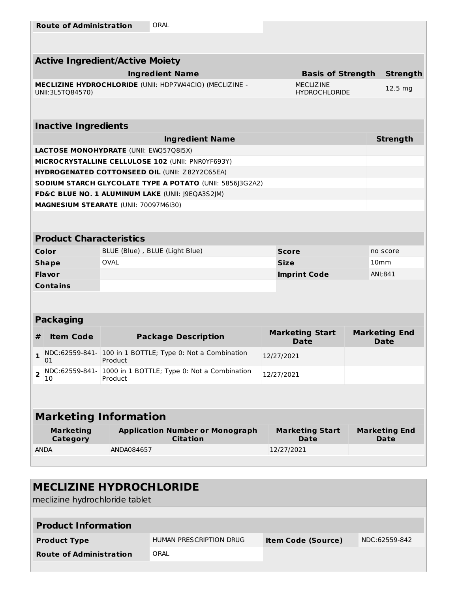|                                     | <b>Active Ingredient/Active Moiety</b>                                |                                       |                                           |                  |                                     |  |  |  |
|-------------------------------------|-----------------------------------------------------------------------|---------------------------------------|-------------------------------------------|------------------|-------------------------------------|--|--|--|
|                                     | <b>Ingredient Name</b>                                                |                                       | <b>Basis of Strength</b>                  |                  | <b>Strength</b>                     |  |  |  |
| UNII: 3L5TQ84570)                   | MECLIZINE HYDROCHLORIDE (UNII: HDP7W44CIO) (MECLIZINE -               |                                       | <b>MECLIZ INE</b><br><b>HYDROCHLORIDE</b> |                  | 12.5 mg                             |  |  |  |
|                                     |                                                                       |                                       |                                           |                  |                                     |  |  |  |
| <b>Inactive Ingredients</b>         |                                                                       |                                       |                                           |                  |                                     |  |  |  |
|                                     | <b>Ingredient Name</b>                                                |                                       |                                           |                  | <b>Strength</b>                     |  |  |  |
|                                     | <b>LACTOSE MONOHYDRATE (UNII: EWQ57Q8I5X)</b>                         |                                       |                                           |                  |                                     |  |  |  |
|                                     | MICROCRYSTALLINE CELLULOSE 102 (UNII: PNR0YF693Y)                     |                                       |                                           |                  |                                     |  |  |  |
|                                     | HYDROGENATED COTTONSEED OIL (UNII: Z82Y2C65EA)                        |                                       |                                           |                  |                                     |  |  |  |
|                                     | SODIUM STARCH GLYCOLATE TYPE A POTATO (UNII: 5856J3G2A2)              |                                       |                                           |                  |                                     |  |  |  |
|                                     | FD&C BLUE NO. 1 ALUMINUM LAKE (UNII: J9EQA3S2JM)                      |                                       |                                           |                  |                                     |  |  |  |
|                                     | MAGNESIUM STEARATE (UNII: 70097M6I30)                                 |                                       |                                           |                  |                                     |  |  |  |
|                                     |                                                                       |                                       |                                           |                  |                                     |  |  |  |
| <b>Product Characteristics</b>      |                                                                       |                                       |                                           |                  |                                     |  |  |  |
| Color                               | BLUE (Blue), BLUE (Light Blue)                                        | <b>Score</b>                          |                                           |                  | no score                            |  |  |  |
| <b>Shape</b>                        | <b>OVAL</b>                                                           | <b>Size</b>                           |                                           | 10 <sub>mm</sub> |                                     |  |  |  |
| Flavor                              |                                                                       |                                       | <b>Imprint Code</b>                       | ANI;841          |                                     |  |  |  |
| <b>Contains</b>                     |                                                                       |                                       |                                           |                  |                                     |  |  |  |
|                                     |                                                                       |                                       |                                           |                  |                                     |  |  |  |
| <b>Packaging</b>                    |                                                                       |                                       |                                           |                  |                                     |  |  |  |
| <b>Item Code</b><br>#               | <b>Package Description</b>                                            | <b>Marketing Start</b><br><b>Date</b> |                                           |                  | <b>Marketing End</b><br><b>Date</b> |  |  |  |
| 1<br>01                             | NDC:62559-841- 100 in 1 BOTTLE; Type 0: Not a Combination<br>Product  | 12/27/2021                            |                                           |                  |                                     |  |  |  |
| $\overline{2}$<br>10                | NDC:62559-841- 1000 in 1 BOTTLE; Type 0: Not a Combination<br>Product | 12/27/2021                            |                                           |                  |                                     |  |  |  |
|                                     |                                                                       |                                       |                                           |                  |                                     |  |  |  |
| <b>Marketing Information</b>        |                                                                       |                                       |                                           |                  |                                     |  |  |  |
| <b>Marketing</b><br><b>Category</b> | <b>Application Number or Monograph</b><br><b>Citation</b>             |                                       | <b>Marketing Start</b><br>Date            |                  | <b>Marketing End</b><br><b>Date</b> |  |  |  |
| <b>ANDA</b>                         | ANDA084657                                                            | 12/27/2021                            |                                           |                  |                                     |  |  |  |
|                                     |                                                                       |                                       |                                           |                  |                                     |  |  |  |

## **MECLIZINE HYDROCHLORIDE**

meclizine hydrochloride tablet

| <b>Product Information</b>     |                         |                           |               |  |  |  |  |
|--------------------------------|-------------------------|---------------------------|---------------|--|--|--|--|
| <b>Product Type</b>            | HUMAN PRESCRIPTION DRUG | <b>Item Code (Source)</b> | NDC:62559-842 |  |  |  |  |
| <b>Route of Administration</b> | ORAL                    |                           |               |  |  |  |  |